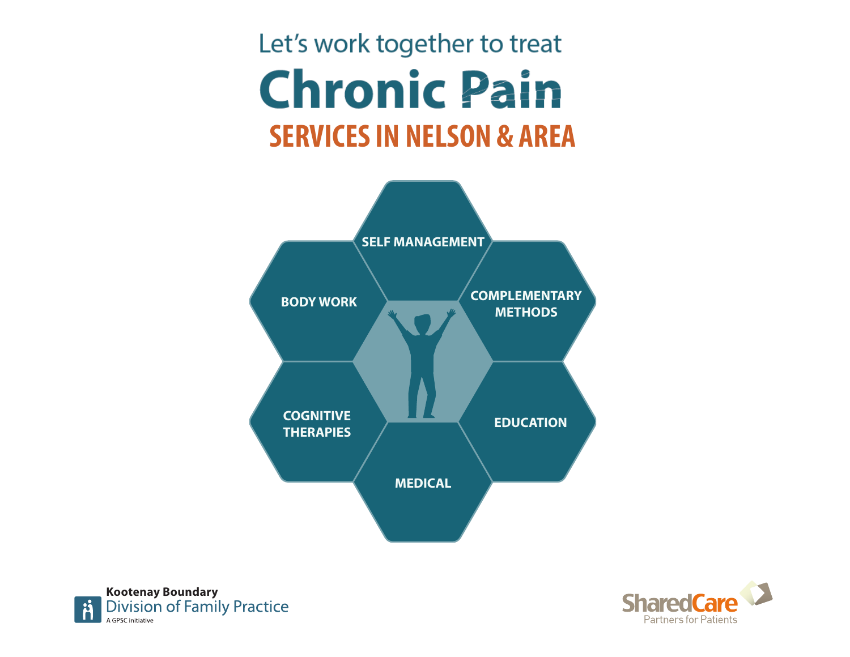# Let's work together to treat **Chronic Pain SERVICES IN NELSON & AREA**





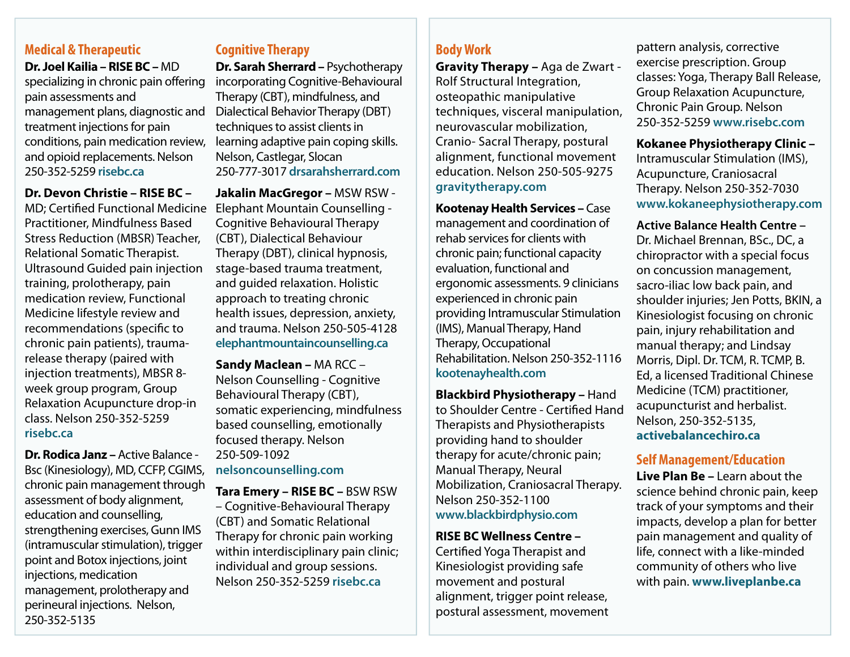## **Medical & Therapeutic**

**Dr. Joel Kailia – RISE BC –** MD specializing in chronic pain offering pain assessments and management plans, diagnostic and treatment injections for pain conditions, pain medication review, and opioid replacements. Nelson 250-352-5259 **[risebc.ca](http://www.risebc.ca)**

#### **Dr. Devon Christie – RISE BC –**

MD; Certifed Functional Medicine Practitioner, Mindfulness Based Stress Reduction (MBSR) Teacher, Relational Somatic Therapist. Ultrasound Guided pain injection training, prolotherapy, pain medication review, Functional Medicine lifestyle review and recommendations (specifc to chronic pain patients), traumarelease therapy (paired with injection treatments), MBSR 8 week group program, Group Relaxation Acupuncture drop-in class. Nelson 250-352-5259 **[risebc.ca](http://www.risebc.ca)**

**Dr. Rodica Janz –** Active Balance - Bsc (Kinesiology), MD, CCFP, CGIMS, chronic pain management through assessment of body alignment, education and counselling, strengthening exercises, Gunn IMS (intramuscular stimulation), trigger point and Botox injections, joint injections, medication management, prolotherapy and perineural injections. Nelson, 250-352-5135

## **Cognitive Therapy**

**Dr. Sarah Sherrard – Psychotherapy** incorporating Cognitive-Behavioural Therapy (CBT), mindfulness, and Dialectical Behavior Therapy (DBT) techniques to assist clients in learning adaptive pain coping skills. Nelson, Castlegar, Slocan 250-777-3017 **[drsarahsherrard.com](http://www.drsarahsherrard.com)**

**Jakalin MacGregor –** MSW RSW - Elephant Mountain Counselling - Cognitive Behavioural Therapy (CBT), Dialectical Behaviour Therapy (DBT), clinical hypnosis, stage-based trauma treatment, and guided relaxation. Holistic approach to treating chronic health issues, depression, anxiety, and trauma. Nelson 250-505-4128 **[elephantmountaincounselling.ca](http://www.elephantmountaincounselling.ca)**

**Sandy Maclean –** MA RCC – Nelson Counselling - Cognitive Behavioural Therapy (CBT), somatic experiencing, mindfulness based counselling, emotionally focused therapy. Nelson 250-509-1092 **[nelsoncounselling.com](http://www.nelsoncounselling.com)**

**Tara Emery – RISE BC –** BSW RSW – Cognitive-Behavioural Therapy (CBT) and Somatic Relational Therapy for chronic pain working within interdisciplinary pain clinic; individual and group sessions. Nelson 250-352-5259 **[risebc.ca](http://www.risebc.ca)**

## **Body Work**

**Gravity Therapy –** Aga de Zwart - Rolf Structural Integration, osteopathic manipulative techniques, visceral manipulation, neurovascular mobilization, Cranio- Sacral Therapy, postural alignment, functional movement education. Nelson 250-505-9275 **[gravitytherapy.com](http://www.gravitytherapy.com)**

**Kootenay Health Services –** Case management and coordination of rehab services for clients with chronic pain; functional capacity evaluation, functional and ergonomic assessments. 9 clinicians experienced in chronic pain providing Intramuscular Stimulation (IMS), Manual Therapy, Hand Therapy, Occupational Rehabilitation. Nelson 250-352-1116 **[kootenayhealth.com](http://www.kootenayhealth.com)**

**Blackbird Physiotherapy –** Hand to Shoulder Centre - Certifed Hand Therapists and Physiotherapists providing hand to shoulder therapy for acute/chronic pain; Manual Therapy, Neural Mobilization, Craniosacral Therapy. Nelson 250-352-1100 **[www.blackbirdphysio.com](http://www.blackbirdphysio.com)**

**RISE BC Wellness Centre –** 

Certifed Yoga Therapist and Kinesiologist providing safe movement and postural alignment, trigger point release, postural assessment, movement

pattern analysis, corrective exercise prescription. Group classes: Yoga, Therapy Ball Release, Group Relaxation Acupuncture, Chronic Pain Group. Nelson 250-352-5259 **[www.risebc.com](http://www.risebc.com)**

#### **Kokanee Physiotherapy Clinic –** Intramuscular Stimulation (IMS), Acupuncture, Craniosacral Therapy. Nelson 250-352-7030 **[www.kokaneephysiotherapy.com](http://www.kokaneephysiotherapy.com)**

#### **Active Balance Health Centre –**

Dr. Michael Brennan, BSc., DC, a chiropractor with a special focus on concussion management, sacro-iliac low back pain, and shoulder injuries; Jen Potts, BKIN, a Kinesiologist focusing on chronic pain, injury rehabilitation and manual therapy; and Lindsay Morris, Dipl. Dr. TCM, R. TCMP, B. Ed, a licensed Traditional Chinese Medicine (TCM) practitioner, acupuncturist and herbalist. Nelson, 250-352-5135, **[activebalancechiro.ca](http://activebalancechiro.ca)**

#### **Self Management/Education**

**Live Plan Be –** Learn about the science behind chronic pain, keep track of your symptoms and their impacts, develop a plan for better pain management and quality of life, connect with a like-minded community of others who live with pain. **[www.liveplanbe.ca](http://www.liveplanbe.ca)**